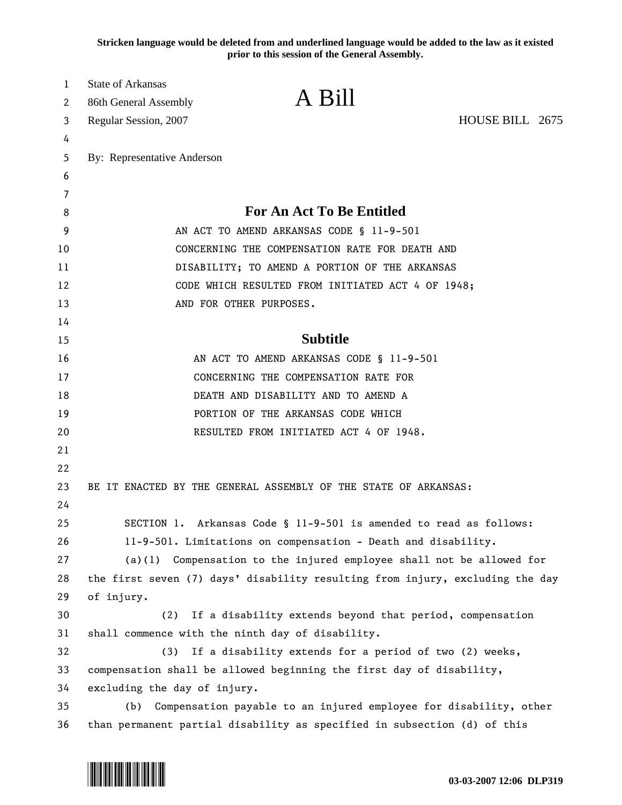**Stricken language would be deleted from and underlined language would be added to the law as it existed prior to this session of the General Assembly.**

| 1        | <b>State of Arkansas</b>                                                                                                            |                                                                 |                 |  |
|----------|-------------------------------------------------------------------------------------------------------------------------------------|-----------------------------------------------------------------|-----------------|--|
| 2        | 86th General Assembly                                                                                                               | A Bill                                                          |                 |  |
| 3        | Regular Session, 2007                                                                                                               |                                                                 | HOUSE BILL 2675 |  |
| 4        |                                                                                                                                     |                                                                 |                 |  |
| 5        | By: Representative Anderson                                                                                                         |                                                                 |                 |  |
| 6        |                                                                                                                                     |                                                                 |                 |  |
| 7        |                                                                                                                                     |                                                                 |                 |  |
| 8        | For An Act To Be Entitled                                                                                                           |                                                                 |                 |  |
| 9        | AN ACT TO AMEND ARKANSAS CODE § 11-9-501                                                                                            |                                                                 |                 |  |
| 10       | CONCERNING THE COMPENSATION RATE FOR DEATH AND                                                                                      |                                                                 |                 |  |
| 11       | DISABILITY; TO AMEND A PORTION OF THE ARKANSAS                                                                                      |                                                                 |                 |  |
| 12       |                                                                                                                                     | CODE WHICH RESULTED FROM INITIATED ACT 4 OF 1948;               |                 |  |
| 13       |                                                                                                                                     | AND FOR OTHER PURPOSES.                                         |                 |  |
| 14       |                                                                                                                                     |                                                                 |                 |  |
| 15       | <b>Subtitle</b>                                                                                                                     |                                                                 |                 |  |
| 16       | AN ACT TO AMEND ARKANSAS CODE § 11-9-501                                                                                            |                                                                 |                 |  |
| 17       | CONCERNING THE COMPENSATION RATE FOR                                                                                                |                                                                 |                 |  |
| 18       |                                                                                                                                     | DEATH AND DISABILITY AND TO AMEND A                             |                 |  |
| 19       |                                                                                                                                     | PORTION OF THE ARKANSAS CODE WHICH                              |                 |  |
| 20       |                                                                                                                                     | RESULTED FROM INITIATED ACT 4 OF 1948.                          |                 |  |
| 21       |                                                                                                                                     |                                                                 |                 |  |
| 22       |                                                                                                                                     |                                                                 |                 |  |
| 23       |                                                                                                                                     | BE IT ENACTED BY THE GENERAL ASSEMBLY OF THE STATE OF ARKANSAS: |                 |  |
| 24<br>25 |                                                                                                                                     |                                                                 |                 |  |
| 26       | SECTION 1. Arkansas Code § 11-9-501 is amended to read as follows:<br>11-9-501. Limitations on compensation - Death and disability. |                                                                 |                 |  |
| 27       | Compensation to the injured employee shall not be allowed for<br>(a)(1)                                                             |                                                                 |                 |  |
| 28       | the first seven (7) days' disability resulting from injury, excluding the day                                                       |                                                                 |                 |  |
| 29       | of injury.                                                                                                                          |                                                                 |                 |  |
| 30       | (2)                                                                                                                                 | If a disability extends beyond that period, compensation        |                 |  |
| 31       |                                                                                                                                     | shall commence with the ninth day of disability.                |                 |  |
| 32       | If a disability extends for a period of two (2) weeks,<br>(3)                                                                       |                                                                 |                 |  |
| 33       | compensation shall be allowed beginning the first day of disability,                                                                |                                                                 |                 |  |
| 34       | excluding the day of injury.                                                                                                        |                                                                 |                 |  |
| 35       | Compensation payable to an injured employee for disability, other<br>(b)                                                            |                                                                 |                 |  |
| 36       | than permanent partial disability as specified in subsection (d) of this                                                            |                                                                 |                 |  |

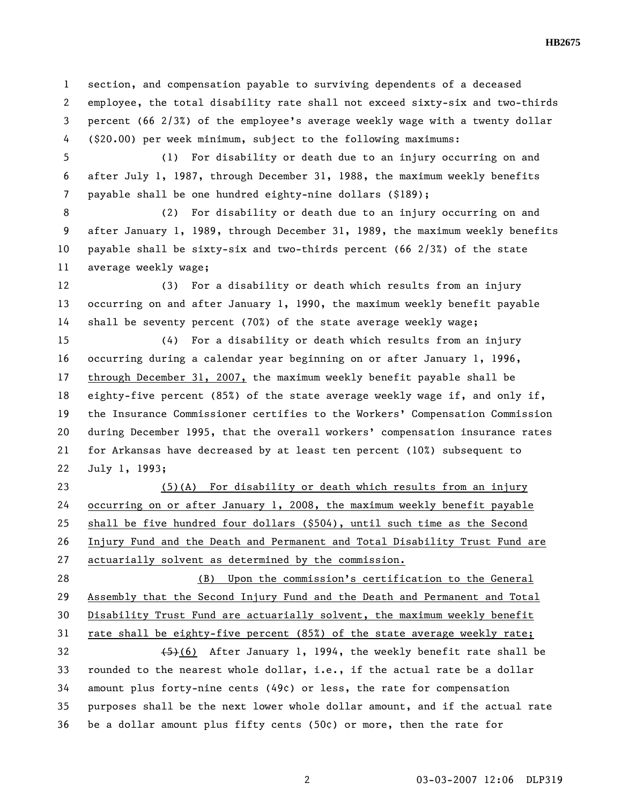1 section, and compensation payable to surviving dependents of a deceased 2 employee, the total disability rate shall not exceed sixty-six and two-thirds 3 percent (66 2/3%) of the employee's average weekly wage with a twenty dollar 4 (\$20.00) per week minimum, subject to the following maximums:

5 (1) For disability or death due to an injury occurring on and 6 after July 1, 1987, through December 31, 1988, the maximum weekly benefits 7 payable shall be one hundred eighty-nine dollars (\$189);

8 (2) For disability or death due to an injury occurring on and 9 after January 1, 1989, through December 31, 1989, the maximum weekly benefits 10 payable shall be sixty-six and two-thirds percent (66 2/3%) of the state 11 average weekly wage;

12 (3) For a disability or death which results from an injury 13 occurring on and after January 1, 1990, the maximum weekly benefit payable 14 shall be seventy percent (70%) of the state average weekly wage;

15 (4) For a disability or death which results from an injury 16 occurring during a calendar year beginning on or after January 1, 1996, 17 through December 31, 2007, the maximum weekly benefit payable shall be 18 eighty-five percent (85%) of the state average weekly wage if, and only if, 19 the Insurance Commissioner certifies to the Workers' Compensation Commission 20 during December 1995, that the overall workers' compensation insurance rates 21 for Arkansas have decreased by at least ten percent (10%) subsequent to 22 July 1, 1993;

23 (5)(A) For disability or death which results from an injury 24 occurring on or after January 1, 2008, the maximum weekly benefit payable 25 shall be five hundred four dollars (\$504), until such time as the Second 26 Injury Fund and the Death and Permanent and Total Disability Trust Fund are 27 actuarially solvent as determined by the commission.

28 (B) Upon the commission's certification to the General 29 Assembly that the Second Injury Fund and the Death and Permanent and Total 30 Disability Trust Fund are actuarially solvent, the maximum weekly benefit 31 rate shall be eighty-five percent (85%) of the state average weekly rate;

32 (5)(6) After January 1, 1994, the weekly benefit rate shall be 33 rounded to the nearest whole dollar, i.e., if the actual rate be a dollar 34 amount plus forty-nine cents (49¢) or less, the rate for compensation 35 purposes shall be the next lower whole dollar amount, and if the actual rate 36 be a dollar amount plus fifty cents (50¢) or more, then the rate for